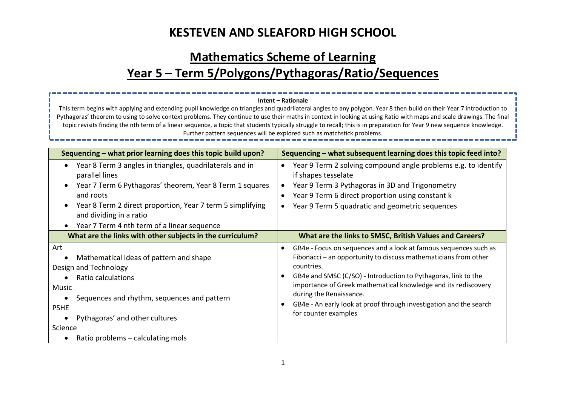# **Mathematics Scheme of Learning Year 5 – Term 5/Polygons/Pythagoras/Ratio/Sequences**

#### **Sequencing – what prior learning does this topic build upon? Sequencing – what subsequent learning does this topic feed into?** • Year 8 Term 3 angles in triangles, quadrilaterals and in parallel lines • Year 7 Term 6 Pythagoras' theorem, Year 8 Term 1 squares and roots • Year 8 Term 2 direct proportion, Year 7 term 5 simplifying and dividing in a ratio • Year 7 Term 4 nth term of a linear sequence • Year 9 Term 2 solving compound angle problems e.g. to identify if shapes tesselate • Year 9 Term 3 Pythagoras in 3D and Trigonometry Year 9 Term 6 direct proportion using constant k • Year 9 Term 5 quadratic and geometric sequences **What are the links with other subjects in the curriculum? What are the links to SMSC, British Values and Careers?** Art • Mathematical ideas of pattern and shape Design and Technology • Ratio calculations Music • Sequences and rhythm, sequences and pattern PSHE • Pythagoras' and other cultures Science • Ratio problems – calculating mols • GB4e - Focus on sequences and a look at famous sequences such as Fibonacci – an opportunity to discuss mathematicians from other countries. • GB4e and SMSC (C/SO) - Introduction to Pythagoras, link to the importance of Greek mathematical knowledge and its rediscovery during the Renaissance. • GB4e - An early look at proof through investigation and the search for counter examples **Intent – Rationale** This term begins with applying and extending pupil knowledge on triangles and quadrilateral angles to any polygon. Year 8 then build on their Year 7 introduction to Pythagoras' theorem to using to solve context problems. They continue to use their maths in context in looking at using Ratio with maps and scale drawings. The final topic revisits finding the nth term of a linear sequence, a topic that students typically struggle to recall; this is in preparation for Year 9 new sequence knowledge. Further pattern sequences will be explored such as matchstick problems.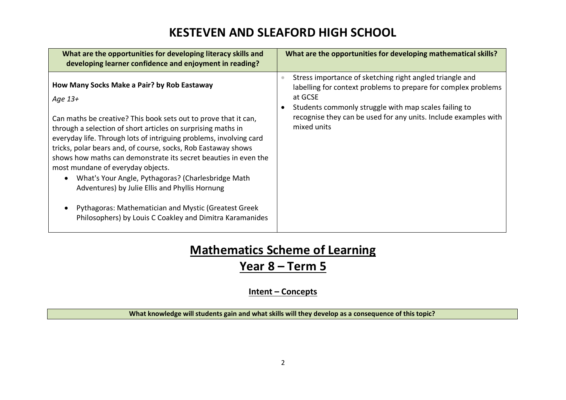| What are the opportunities for developing literacy skills and<br>developing learner confidence and enjoyment in reading?                                                                                                                                                                                                                                                                                                                                                                                                                                                                                                                                             | What are the opportunities for developing mathematical skills?                                                                                                                                                                                                                   |
|----------------------------------------------------------------------------------------------------------------------------------------------------------------------------------------------------------------------------------------------------------------------------------------------------------------------------------------------------------------------------------------------------------------------------------------------------------------------------------------------------------------------------------------------------------------------------------------------------------------------------------------------------------------------|----------------------------------------------------------------------------------------------------------------------------------------------------------------------------------------------------------------------------------------------------------------------------------|
| How Many Socks Make a Pair? by Rob Eastaway<br>Age 13+<br>Can maths be creative? This book sets out to prove that it can,<br>through a selection of short articles on surprising maths in<br>everyday life. Through lots of intriguing problems, involving card<br>tricks, polar bears and, of course, socks, Rob Eastaway shows<br>shows how maths can demonstrate its secret beauties in even the<br>most mundane of everyday objects.<br>What's Your Angle, Pythagoras? (Charlesbridge Math<br>Adventures) by Julie Ellis and Phyllis Hornung<br>Pythagoras: Mathematician and Mystic (Greatest Greek<br>Philosophers) by Louis C Coakley and Dimitra Karamanides | Stress importance of sketching right angled triangle and<br>labelling for context problems to prepare for complex problems<br>at GCSE<br>Students commonly struggle with map scales failing to<br>recognise they can be used for any units. Include examples with<br>mixed units |

# **Mathematics Scheme of Learning**

### **Year 8 – Term 5**

#### **Intent – Concepts**

**What knowledge will students gain and what skills will they develop as a consequence of this topic?**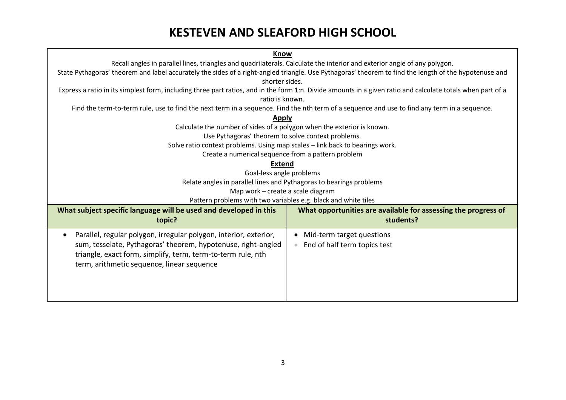| <b>Know</b>                                                                                                                                                             |  |  |
|-------------------------------------------------------------------------------------------------------------------------------------------------------------------------|--|--|
| Recall angles in parallel lines, triangles and quadrilaterals. Calculate the interior and exterior angle of any polygon.                                                |  |  |
|                                                                                                                                                                         |  |  |
| State Pythagoras' theorem and label accurately the sides of a right-angled triangle. Use Pythagoras' theorem to find the length of the hypotenuse and<br>shorter sides. |  |  |
|                                                                                                                                                                         |  |  |
| Express a ratio in its simplest form, including three part ratios, and in the form 1:n. Divide amounts in a given ratio and calculate totals when part of a             |  |  |
| ratio is known.                                                                                                                                                         |  |  |
| Find the term-to-term rule, use to find the next term in a sequence. Find the nth term of a sequence and use to find any term in a sequence.                            |  |  |
| <b>Apply</b>                                                                                                                                                            |  |  |
| Calculate the number of sides of a polygon when the exterior is known.                                                                                                  |  |  |
| Use Pythagoras' theorem to solve context problems.                                                                                                                      |  |  |
| Solve ratio context problems. Using map scales - link back to bearings work.                                                                                            |  |  |
| Create a numerical sequence from a pattern problem                                                                                                                      |  |  |
| <b>Extend</b>                                                                                                                                                           |  |  |
| Goal-less angle problems                                                                                                                                                |  |  |
| Relate angles in parallel lines and Pythagoras to bearings problems                                                                                                     |  |  |
| Map work - create a scale diagram                                                                                                                                       |  |  |
| Pattern problems with two variables e.g. black and white tiles                                                                                                          |  |  |
|                                                                                                                                                                         |  |  |
| What subject specific language will be used and developed in this<br>What opportunities are available for assessing the progress of                                     |  |  |
| students?<br>topic?                                                                                                                                                     |  |  |
| Parallel, regular polygon, irregular polygon, interior, exterior,<br>Mid-term target questions<br>$\bullet$<br>$\bullet$                                                |  |  |
| sum, tesselate, Pythagoras' theorem, hypotenuse, right-angled<br>End of half term topics test<br>$\bullet$                                                              |  |  |
| triangle, exact form, simplify, term, term-to-term rule, nth                                                                                                            |  |  |
|                                                                                                                                                                         |  |  |
| term, arithmetic sequence, linear sequence                                                                                                                              |  |  |
|                                                                                                                                                                         |  |  |
|                                                                                                                                                                         |  |  |
|                                                                                                                                                                         |  |  |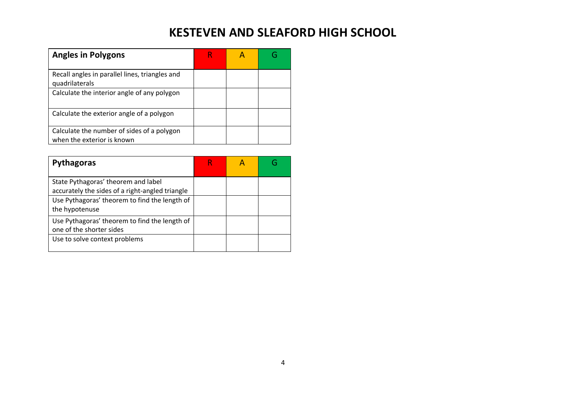| <b>Angles in Polygons</b>                                                |  |  |
|--------------------------------------------------------------------------|--|--|
| Recall angles in parallel lines, triangles and<br>quadrilaterals         |  |  |
| Calculate the interior angle of any polygon                              |  |  |
| Calculate the exterior angle of a polygon                                |  |  |
| Calculate the number of sides of a polygon<br>when the exterior is known |  |  |

| <b>Pythagoras</b>                                                                      |  |  |
|----------------------------------------------------------------------------------------|--|--|
| State Pythagoras' theorem and label<br>accurately the sides of a right-angled triangle |  |  |
| Use Pythagoras' theorem to find the length of<br>the hypotenuse                        |  |  |
| Use Pythagoras' theorem to find the length of<br>one of the shorter sides              |  |  |
| Use to solve context problems                                                          |  |  |